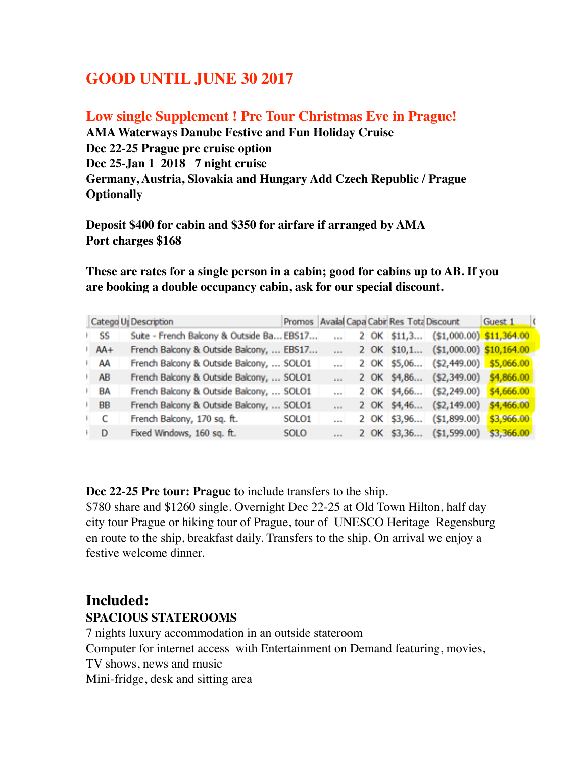## **GOOD UNTIL JUNE 30 2017**

#### **Low single Supplement ! Pre Tour Christmas Eve in Prague!**

**AMA Waterways Danube Festive and Fun Holiday Cruise Dec 22-25 Prague pre cruise option Dec 25-Jan 1 2018 7 night cruise Germany, Austria, Slovakia and Hungary Add Czech Republic / Prague Optionally**

**Deposit \$400 for cabin and \$350 for airfare if arranged by AMA Port charges \$168**

**These are rates for a single person in a cabin; good for cabins up to AB. If you are booking a double occupancy cabin, ask for our special discount.** 

|                   | Catego U. Description                     |                   |        |  | Promos Availal Capa Cabir Res Tota Discount | Guest 1 (  |
|-------------------|-------------------------------------------|-------------------|--------|--|---------------------------------------------|------------|
| ⊦ SS              | Suite - French Balcony & Outside Ba EBS17 |                   |        |  | 2 OK \$11,3 (\$1,000.00) \$11,364.00        |            |
| AA+               | French Balcony & Outside Balcony,  EBS17  |                   | $\sim$ |  | 2 OK \$10,1 (\$1,000.00) \$10,164.00        |            |
| ŀ AA              | French Balcony & Outside Balcony,  SOLO1  |                   |        |  | 2 OK \$5,06 (\$2,449.00) \$5,066.00         |            |
| ŀ AB              | French Balcony & Outside Balcony,  SOLO1  |                   | and in |  | 2 OK \$4,86 (\$2,349.00) \$4,866.00         |            |
| ≀ BA              | French Balcony & Outside Balcony,  SOLO1  |                   |        |  | 2 OK \$4,66 (\$2,249.00) \$4,666.00         |            |
| ⊦ BB              | French Balcony & Outside Balcony,  SOLO1  |                   |        |  | 2 OK \$4,46 (\$2,149.00)                    | \$4,466.00 |
| C<br>$\mathbf{r}$ | French Balcony, 170 sq. ft.               | SOLO <sub>1</sub> |        |  | 2 OK \$3,96 (\$1,899.00)                    | \$3,966.00 |
| ⊦ D               | Fixed Windows, 160 sq. ft.                | <b>SOLO</b>       |        |  | 2 OK \$3,36 (\$1,599.00)                    | \$3,366.00 |

**Dec 22-25 Pre tour: Prague t**o include transfers to the ship.

\$780 share and \$1260 single. Overnight Dec 22-25 at Old Town Hilton, half day city tour Prague or hiking tour of Prague, tour of UNESCO Heritage Regensburg en route to the ship, breakfast daily. Transfers to the ship. On arrival we enjoy a festive welcome dinner.

## **Included:**

#### **SPACIOUS STATEROOMS**

7 nights luxury accommodation in an outside stateroom

Computer for internet access with Entertainment on Demand featuring, movies,

TV shows, news and music

Mini-fridge, desk and sitting area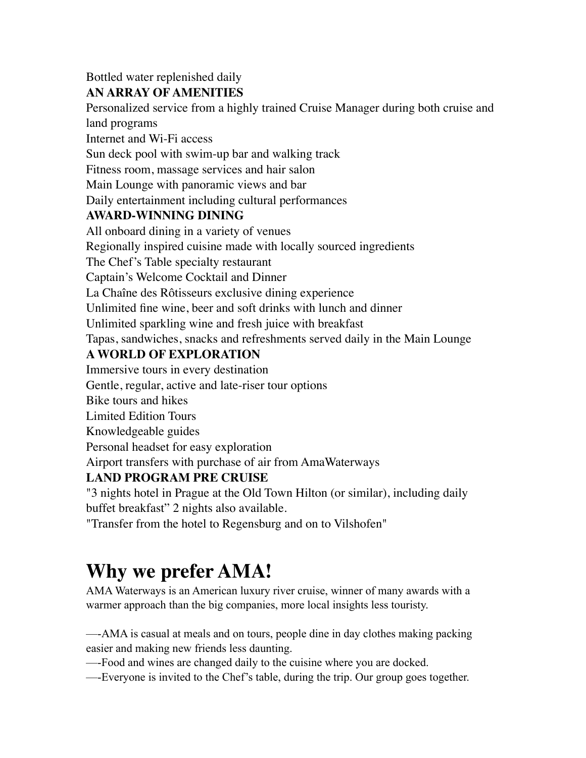### Bottled water replenished daily

#### **AN ARRAY OF AMENITIES**

Personalized service from a highly trained Cruise Manager during both cruise and land programs

Internet and Wi-Fi access

Sun deck pool with swim-up bar and walking track

Fitness room, massage services and hair salon

Main Lounge with panoramic views and bar

Daily entertainment including cultural performances

#### **AWARD-WINNING DINING**

All onboard dining in a variety of venues Regionally inspired cuisine made with locally sourced ingredients The Chef's Table specialty restaurant Captain's Welcome Cocktail and Dinner La Chaîne des Rôtisseurs exclusive dining experience Unlimited fine wine, beer and soft drinks with lunch and dinner Unlimited sparkling wine and fresh juice with breakfast Tapas, sandwiches, snacks and refreshments served daily in the Main Lounge **A WORLD OF EXPLORATION** Immersive tours in every destination Gentle, regular, active and late-riser tour options Bike tours and hikes Limited Edition Tours

Knowledgeable guides

Personal headset for easy exploration

Airport transfers with purchase of air from AmaWaterways

### **LAND PROGRAM PRE CRUISE**

"3 nights hotel in Prague at the Old Town Hilton (or similar), including daily buffet breakfast" 2 nights also available.

"Transfer from the hotel to Regensburg and on to Vilshofen"

# **Why we prefer AMA!**

AMA Waterways is an American luxury river cruise, winner of many awards with a warmer approach than the big companies, more local insights less touristy.

—-AMA is casual at meals and on tours, people dine in day clothes making packing easier and making new friends less daunting.

—-Food and wines are changed daily to the cuisine where you are docked.

—-Everyone is invited to the Chef's table, during the trip. Our group goes together.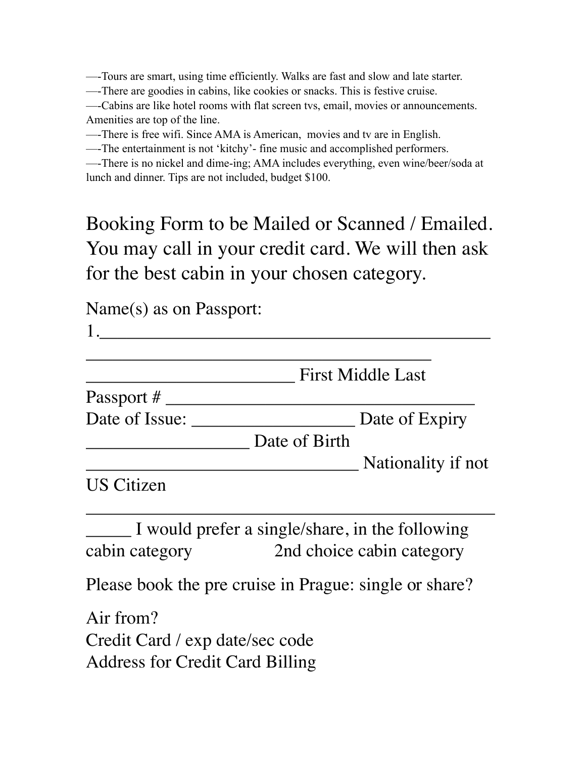—-Tours are smart, using time efficiently. Walks are fast and slow and late starter.

—-There are goodies in cabins, like cookies or snacks. This is festive cruise.

—-Cabins are like hotel rooms with flat screen tvs, email, movies or announcements. Amenities are top of the line.

—-There is free wifi. Since AMA is American, movies and tv are in English.

—-The entertainment is not 'kitchy'- fine music and accomplished performers.

—-There is no nickel and dime-ing; AMA includes everything, even wine/beer/soda at lunch and dinner. Tips are not included, budget \$100.

Booking Form to be Mailed or Scanned / Emailed. You may call in your credit card. We will then ask for the best cabin in your chosen category.

Name(s) as on Passport:

 $1.$ 

|                   |               | <b>First Middle Last</b> |  |  |
|-------------------|---------------|--------------------------|--|--|
| Passport #        |               |                          |  |  |
| Date of Issue:    |               | Date of Expiry           |  |  |
|                   | Date of Birth |                          |  |  |
|                   |               | Nationality if not       |  |  |
| <b>US Citizen</b> |               |                          |  |  |

\_\_\_\_\_ I would prefer a single/share, in the following cabin category 2nd choice cabin category

 $\overline{\phantom{a}}$  , and the contract of the contract of the contract of the contract of the contract of the contract of the contract of the contract of the contract of the contract of the contract of the contract of the contrac

Please book the pre cruise in Prague: single or share?

Air from? Credit Card / exp date/sec code Address for Credit Card Billing